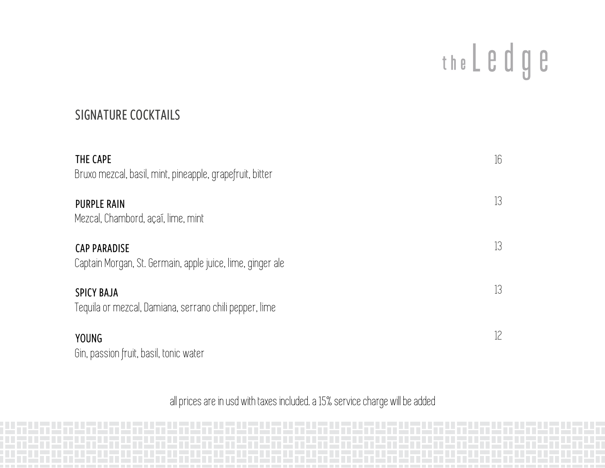## the L e d g e

### SIGNATURE COCKTAILS

| THE CAPE<br>Bruxo mezcal, basil, mint, pineapple, grapefruit, bitter              | 16 |
|-----------------------------------------------------------------------------------|----|
| <b>PURPLE RAIN</b><br>Mezcal, Chambord, açai, lime, mint                          | 13 |
| <b>CAP PARADISE</b><br>Captain Morgan, St. Germain, apple juice, lime, ginger ale | 13 |
| <b>SPICY BAJA</b><br>Tequila or mezcal, Damiana, serrano chili pepper, lime       | 13 |
| <b>YOUNG</b><br>Gin, passion fruit, basil, tonic water                            | 12 |

all prices are in usd with taxes included. a 15% service charge will be added